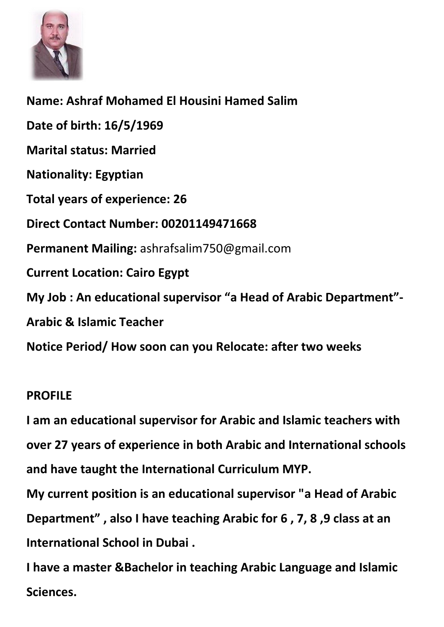

**Name: Ashraf Mohamed El Housini Hamed Salim Date of birth: 16/5/1969 Marital status: Married Nationality: Egyptian Total years of experience: 26 Direct Contact Number: 00201149471668 Permanent Mailing:** [ashrafsalim750@gmail.com](mailto:ashrafsalim750@gmail.com) **Current Location: Cairo Egypt My Job : An educational supervisor "a Head of Arabic Department"- Arabic & Islamic Teacher Notice Period/ How soon can you Relocate: after two weeks** 

# **PROFILE**

**I am an educational supervisor for Arabic and Islamic teachers with over 27 years of experience in both Arabic and International schools and have taught the International Curriculum MYP. My current position is an educational supervisor "a Head of Arabic Department" , also I have teaching Arabic for 6 , 7, 8 ,9 class at an International School in Dubai .** 

**I have a master &Bachelor in teaching Arabic Language and Islamic Sciences.**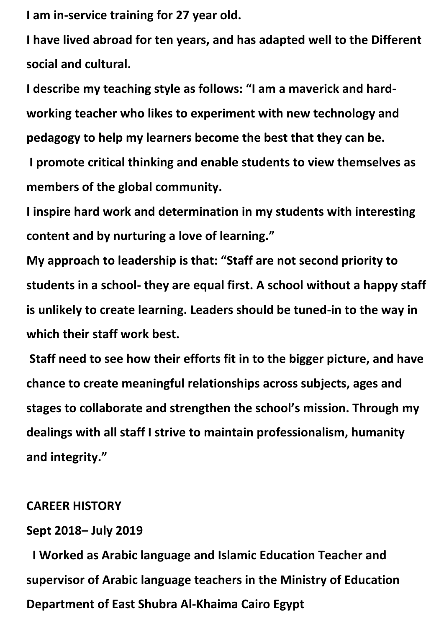**I am in-service training for 27 year old.**

**I have lived abroad for ten years, and has adapted well to the Different social and cultural.**

**I describe my teaching style as follows: "I am a maverick and hardworking teacher who likes to experiment with new technology and pedagogy to help my learners become the best that they can be. I promote critical thinking and enable students to view themselves as members of the global community.** 

**I inspire hard work and determination in my students with interesting content and by nurturing a love of learning."**

**My approach to leadership is that: "Staff are not second priority to students in a school- they are equal first. A school without a happy staff is unlikely to create learning. Leaders should be tuned-in to the way in which their staff work best.**

**Staff need to see how their efforts fit in to the bigger picture, and have chance to create meaningful relationships across subjects, ages and stages to collaborate and strengthen the school's mission. Through my dealings with all staff I strive to maintain professionalism, humanity and integrity."**

#### **CAREER HISTORY**

### **Sept 2018– July 2019**

**I Worked as Arabic language and Islamic Education Teacher and supervisor of Arabic language teachers in the Ministry of Education Department of East Shubra Al-Khaima Cairo Egypt**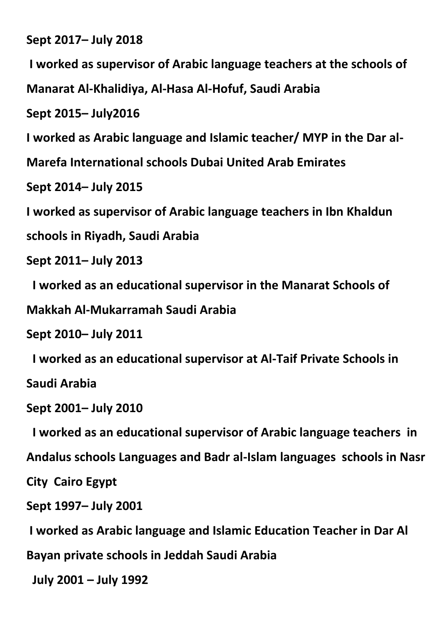**Sept 2017– July 2018** 

**I worked as supervisor of Arabic language teachers at the schools of** 

**Manarat Al-Khalidiya, Al-Hasa Al-Hofuf, Saudi Arabia**

**Sept 2015– July2016** 

**I worked as Arabic language and Islamic teacher/ MYP in the Dar al-**

**Marefa International schools Dubai United Arab Emirates** 

**Sept 2014– July 2015** 

**I worked as supervisor of Arabic language teachers in Ibn Khaldun** 

**schools in Riyadh, Saudi Arabia** 

**Sept 2011– July 2013** 

 **I worked as an educational supervisor in the Manarat Schools of** 

**Makkah Al-Mukarramah Saudi Arabia** 

**Sept 2010– July 2011** 

**I worked as an educational supervisor at Al-Taif Private Schools in** 

**Saudi Arabia** 

**Sept 2001– July 2010** 

 **I worked as an educational supervisor of Arabic language teachers in** 

**Andalus schools Languages and Badr al-Islam languages schools in Nasr** 

**City Cairo Egypt** 

**Sept 1997– July 2001** 

**I worked as Arabic language and Islamic Education Teacher in Dar Al** 

**Bayan private schools in Jeddah Saudi Arabia** 

 **July 2001 – July 1992**